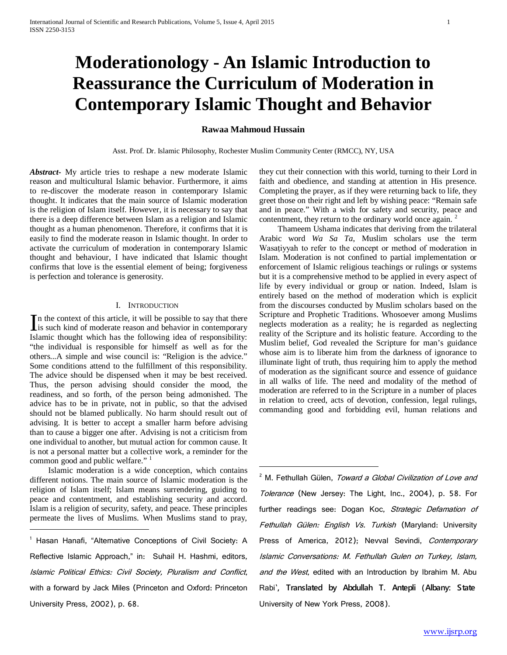# **Moderationology - An Islamic Introduction to Reassurance the Curriculum of Moderation in Contemporary Islamic Thought and Behavior**

# **Rawaa Mahmoud Hussain**

Asst. Prof. Dr. Islamic Philosophy, Rochester Muslim Community Center (RMCC), NY, USA

 $\overline{a}$ 

*Abstract***-** My article tries to reshape a new moderate Islamic reason and multicultural Islamic behavior. Furthermore, it aims to re-discover the moderate reason in contemporary Islamic thought. It indicates that the main source of Islamic moderation is the religion of Islam itself. However, it is necessary to say that there is a deep difference between Islam as a religion and Islamic thought as a human phenomenon. Therefore, it confirms that it is easily to find the moderate reason in Islamic thought. In order to activate the curriculum of moderation in contemporary Islamic thought and behaviour, I have indicated that Islamic thought confirms that love is the essential element of being; forgiveness is perfection and tolerance is generosity.

# I. INTRODUCTION

<span id="page-0-2"></span>n the context of this article, it will be possible to say that there In the context of this article, it will be possible to say that there is such kind of moderate reason and behavior in contemporary Islamic thought which has the following idea of responsibility: "the individual is responsible for himself as well as for the others...A simple and wise council is: "Religion is the advice." Some conditions attend to the fulfillment of this responsibility. The advice should be dispensed when it may be best received. Thus, the person advising should consider the mood, the readiness, and so forth, of the person being admonished. The advice has to be in private, not in public, so that the advised should not be blamed publically. No harm should result out of advising. It is better to accept a smaller harm before advising than to cause a bigger one after. Advising is not a criticism from one individual to another, but mutual action for common cause. It is not a personal matter but a collective work, a reminder for the common good and public welfare."<sup>[1](#page-0-0)</sup>

<span id="page-0-1"></span> Islamic moderation is a wide conception, which contains different notions. The main source of Islamic moderation is the religion of Islam itself; Islam means surrendering, guiding to peace and contentment, and establishing security and accord. Islam is a religion of security, safety, and peace. These principles permeate the lives of Muslims. When Muslims stand to pray,

 $\overline{a}$ 

<span id="page-0-0"></span><sup>1</sup> Hasan Hanafi, "Alternative Conceptions of Civil Society: A Reflective Islamic Approach," in: Suhail H. Hashmi, editors, Islamic Political Ethics: Civil Society, Pluralism and Conflict, with a forward by Jack Miles (Princeton and Oxford: Princeton University Press, 2002), p. 68.

they cut their connection with this world, turning to their Lord in faith and obedience, and standing at attention in His presence. Completing the prayer, as if they were returning back to life, they greet those on their right and left by wishing peace: "Remain safe and in peace." With a wish for safety and security, peace and contentment, they return to the ordinary world once again.<sup>[2](#page-0-1)</sup>

 Thameem Ushama indicates that deriving from the trilateral Arabic word *Wa Sa Ta*, Muslim scholars use the term Wasaṭiyyah to refer to the concept or method of moderation in Islam. Moderation is not confined to partial implementation or enforcement of Islamic religious teachings or rulings or systems but it is a comprehensive method to be applied in every aspect of life by every individual or group or nation. Indeed, Islam is entirely based on the method of moderation which is explicit from the discourses conducted by Muslim scholars based on the Scripture and Prophetic Traditions. Whosoever among Muslims neglects moderation as a reality; he is regarded as neglecting reality of the Scripture and its holistic feature. According to the Muslim belief, God revealed the Scripture for man's guidance whose aim is to liberate him from the darkness of ignorance to illuminate light of truth, thus requiring him to apply the method of moderation as the significant source and essence of guidance in all walks of life. The need and modality of the method of moderation are referred to in the Scripture in a number of places in relation to creed, acts of devotion, confession, legal rulings, commanding good and forbidding evil, human relations and

 $2^2$  M. Fethullah Gülen, Toward a Global Civilization of Love and Tolerance (New Jersey: The Light, Inc., 2004), p. 58. For further readings see: Dogan Koc, Strategic Defamation of Fethullah Gülen: English Vs. Turkish (Maryland: University Press of America, 2012); Nevval Sevindi, Contemporary Islamic Conversations: M. Fethullah Gulen on Turkey, Islam, and the West, edited with an Introduction by Ibrahim M. Abu Rabi**ʽ, Translated by Abdullah T. Antepli (Albany: State**  University of New York Press, 2008).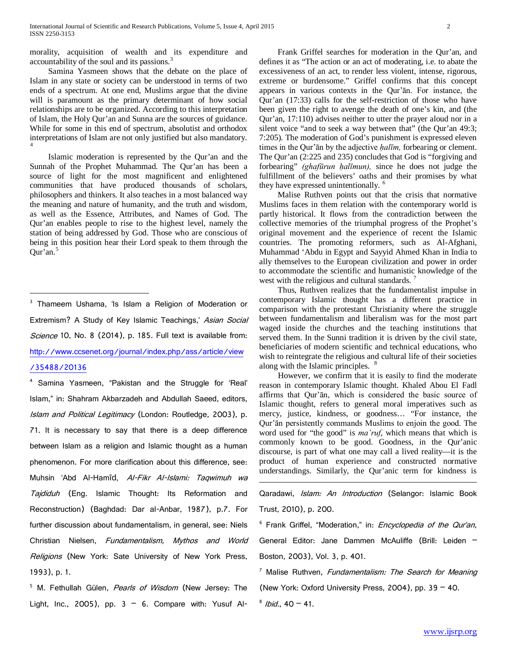morality, acquisition of wealth and its expenditure and accountability of the soul and its passions.<sup>[3](#page-0-2)</sup>

 Samina Yasmeen shows that the debate on the place of Islam in any state or society can be understood in terms of two ends of a spectrum. At one end, Muslims argue that the divine will is paramount as the primary determinant of how social relationships are to be organized. According to this interpretation of Islam, the Holy Qur'an and Sunna are the sources of guidance. While for some in this end of spectrum, absolutist and orthodox interpretations of Islam are not only justified but also mandatory. [4](#page-1-0)

 Islamic moderation is represented by the Qur'an and the Sunnah of the Prophet Muhammad. The Qur'an has been a source of light for the most magnificent and enlightened communities that have produced thousands of scholars, philosophers and thinkers. It also teaches in a most balanced way the meaning and nature of humanity, and the truth and wisdom, as well as the Essence, Attributes, and Names of God. The Qur'an enables people to rise to the highest level, namely the station of being addressed by God. Those who are conscious of being in this position hear their Lord speak to them through the Qur'an.[5](#page-1-1)

 $\overline{a}$ 

<span id="page-1-5"></span><span id="page-1-0"></span><sup>4</sup> Samina Yasmeen, "Pakistan and the Struggle for 'Real' Islam," in: Shahram Akbarzadeh and Abdullah Saeed, editors, Islam and Political Legitimacy (London: Routledge, 2003), p. 71. It is necessary to say that there is a deep difference between Islam as a religion and Islamic thought as a human phenomenon. For more clarification about this difference, see: Muhsin 'Abd Al-Hamīd, Al-Fikr Al-Islami: Taqwimuh wa Tajdiduh (Eng. Islamic Thought: Its Reformation and Reconstruction) (Baghdad: Dar al-Anbar, 1987), p.7. For further discussion about fundamentalism, in general, see: Niels Christian Nielsen, Fundamentalism, Mythos and World Religions (New York: Sate University of New York Press, 1993), p. 1.

<span id="page-1-4"></span><span id="page-1-3"></span><span id="page-1-2"></span><span id="page-1-1"></span><sup>5</sup> M. Fethullah Gülen, Pearls of Wisdom (New Jersey: The Light, Inc., 2005), pp.  $3 - 6$ . Compare with: Yusuf Al-

 Frank Griffel searches for moderation in the Qur'an, and defines it as "The action or an act of moderating, i.e. to abate the excessiveness of an act, to render less violent, intense, rigorous, extreme or burdensome." Griffel confirms that this concept appears in various contexts in the Qur'ān. For instance, the Qur'an (17:33) calls for the self-restriction of those who have been given the right to avenge the death of one's kin, and (the Qur'an, 17:110) advises neither to utter the prayer aloud nor in a silent voice "and to seek a way between that" (the Qur'an 49:3; 7:205). The moderation of God's punishment is expressed eleven times in the Qur'ān by the adjective *ḥalīm,* forbearing or clement. The Qur'an (2:225 and 235) concludes that God is "forgiving and forbearing" *(ghafūrun ḥalīmun),* since he does not judge the fulfillment of the believers' oaths and their promises by what they have expressed unintentionally.<sup>[6](#page-1-2)</sup>

 Malise Ruthven points out that the crisis that normative Muslims faces in them relation with the contemporary world is partly historical. It flows from the contradiction between the collective memories of the triumphal progress of the Prophet's original movement and the experience of recent the Islamic countries. The promoting reformers, such as Al-Afghani, Muhammad 'Abdu in Egypt and Sayyid Ahmed Khan in India to ally themselves to the European civilization and power in order to accommodate the scientific and humanistic knowledge of the west with the religious and cultural standards.

 Thus, Ruthven realizes that the fundamentalist impulse in contemporary Islamic thought has a different practice in comparison with the protestant Christianity where the struggle between fundamentalism and liberalism was for the most part waged inside the churches and the teaching institutions that served them. In the Sunni tradition it is driven by the civil state, beneficiaries of modern scientific and technical educations, who wish to reintegrate the religious and cultural life of their societies along with the Islamic principles.  $\frac{8}{3}$  $\frac{8}{3}$  $\frac{8}{3}$ 

 However, we confirm that it is easily to find the moderate reason in contemporary Islamic thought. Khaled Abou El Fadl affirms that Qur'ān, which is considered the basic source of Islamic thought, refers to general moral imperatives such as mercy, justice, kindness, or goodness… "For instance, the Qur'ān persistently commands Muslims to enjoin the good. The word used for "the good" is *ma'ruf*, which means that which is commonly known to be good. Goodness, in the Qur'anic discourse, is part of what one may call a lived reality—it is the product of human experience and constructed normative understandings. Similarly, the Qur'anic term for kindness is

Qaradawi, *Islam: An Introduction* (Selangor: Islamic Book Trust, 2010), p. 200.

<sup>6</sup> Frank Griffel, "Moderation," in: *Encyclopedia of the Qur'an*, General Editor: Jane Dammen McAuliffe (Brill: Leiden – Boston, 2003), Vol. 3, p. 401.

 $<sup>7</sup>$  Malise Ruthven, Fundamentalism: The Search for Meaning</sup> (New York: Oxford University Press, 2004), pp.  $39 - 40$ .

 $8$  Ibid.,  $40 - 41$ .

<sup>&</sup>lt;sup>3</sup> Thameem Ushama, 'Is Islam a Religion of Moderation or Extremism? A Study of Key Islamic Teachings,' Asian Social Science 10, No. 8 (2014), p. 185. Full text is available from: [http://www.ccsenet.org/journal/index.php/ass/article/view](http://www.ccsenet.org/journal/index.php/ass/article/view/35488/20136) [/35488/20136](http://www.ccsenet.org/journal/index.php/ass/article/view/35488/20136)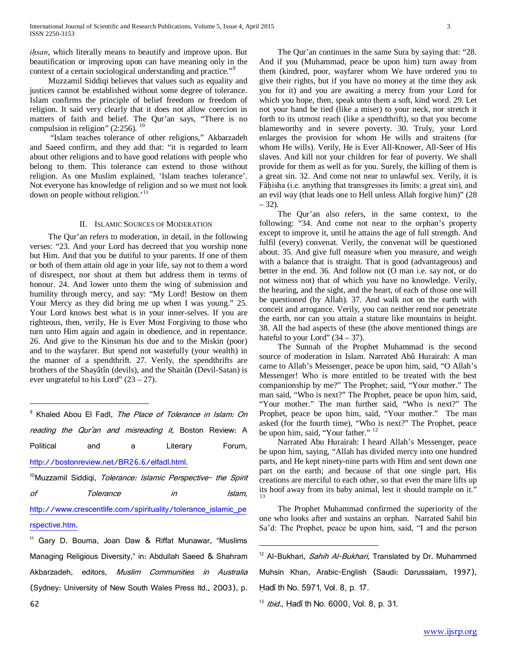*iḥsan*, which literally means to beautify and improve upon. But beautification or improving upon can have meaning only in the context of a certain sociological understanding and practice."<sup>[9](#page-1-5)</sup>

 Muzzamil Siddiqi believes that values such as equality and justices cannot be established without some degree of tolerance. Islam confirms the principle of belief freedom or freedom of religion. It said very clearly that it does not allow coercion in matters of faith and belief. The Qur'an says, "There is no compulsion in religion" (2:256).  $10$ 

 "Islam teaches tolerance of other religions," Akbarzadeh and Saeed confirm, and they add that: "it is regarded to learn about other religions and to have good relations with people who belong to them. This tolerance can extend to those without religion. As one Muslim explained, 'Islam teaches tolerance'. Not everyone has knowledge of religion and so we must not look down on people without religion.<sup>'11</sup>

### II. ISLAMIC SOURCES OF MODERATION

 The Qur'an refers to moderation, in detail, in the following verses: "23. And your Lord has decreed that you worship none but Him. And that you be dutiful to your parents. If one of them or both of them attain old age in your life, say not to them a word of disrespect, nor shout at them but address them in terms of honour. 24. And lower unto them the wing of submission and humility through mercy, and say: "My Lord! Bestow on them Your Mercy as they did bring me up when I was young." 25. Your Lord knows best what is in your inner-selves. If you are righteous, then, verily, He is Ever Most Forgiving to those who turn unto Him again and again in obedience, and in repentance. 26. And give to the Kinsman his due and to the Miskin (poor) and to the wayfarer. But spend not wastefully (your wealth) in the manner of a spendthrift. 27. Verily, the spendthrifts are brothers of the Shayâtîn (devils), and the Shaitân (Devil-Satan) is ever ungrateful to his Lord"  $(23 – 27)$ .

<span id="page-2-1"></span>of Tolerance in Islam, [http://www.crescentlife.com/spirituality/tolerance\\_islamic\\_pe](http://www.crescentlife.com/spirituality/tolerance_islamic_perspective.htm) [rspective.htm.](http://www.crescentlife.com/spirituality/tolerance_islamic_perspective.htm)

<sup>11</sup> Gary D. Bouma, Joan Daw & Riffat Munawar, "Muslims Managing Religious Diversity," in: Abdullah Saeed & Shahram Akbarzadeh, editors, Muslim Communities in Australia (Sydney: University of New South Wales Press ltd., 2003), p.

 $\overline{a}$ 

 The Qur'an continues in the same Sura by saying that: "28. And if you (Muhammad, peace be upon him) turn away from them (kindred, poor, wayfarer whom We have ordered you to give their rights, but if you have no money at the time they ask you for it) and you are awaiting a mercy from your Lord for which you hope, then, speak unto them a soft, kind word. 29. Let not your hand be tied (like a miser) to your neck, nor stretch it forth to its utmost reach (like a spendthrift), so that you become blameworthy and in severe poverty. 30. Truly, your Lord enlarges the provision for whom He wills and straitens (for whom He wills). Verily, He is Ever All-Knower, All-Seer of His slaves. And kill not your children for fear of poverty. We shall provide for them as well as for you. Surely, the killing of them is a great sin. 32. And come not near to unlawful sex. Verily, it is Fâḥisha (i.e. anything that transgresses its limits: a great sin), and an evil way (that leads one to Hell unless Allah forgive him)" (28 – 32).

 The Qur'an also refers, in the same context, to the following: "34. And come not near to the orphan's property except to improve it, until he attains the age of full strength. And fulfil (every) convenat. Verily, the convenat will be questioned about. 35. And give full measure when you measure, and weigh with a balance that is straight. That is good (advantageous) and better in the end. 36. And follow not (O man i.e. say not, or do not witness not) that of which you have no knowledge. Verily, the hearing, and the sight, and the heart, of each of those one will be questioned (by Allah). 37. And walk not on the earth with conceit and arrogance. Verily, you can neither rend nor penetrate the earth, nor can you attain a stature like mountains in height. 38. All the bad aspects of these (the above mentioned things are hateful to your Lord"  $(34 – 37)$ .

 The Sunnah of the Prophet Muhammad is the second source of moderation in Islam. Narrated Abû Hurairah: A man came to Allah's Messenger, peace be upon him, said, "O Allah's Messenger! Who is more entitled to be treated with the best companionship by me?" The Prophet; said, "Your mother." The man said, "Who is next?" The Prophet, peace be upon him, said, "Your mother." The man further said, "Who is next?" The Prophet, peace be upon him, said, "Your mother." The man asked (for the fourth time), "Who is next?" The Prophet, peace be upon him, said, "Your father."<sup>12</sup>

 Narrated Abu Hurairah: I heard Allah's Messenger, peace be upon him, saying, "Allah has divided mercy into one hundred parts, and He kept ninety-nine parts with Him and sent down one part on the earth; and because of that one single part, His creations are merciful to each other, so that even the mare lifts up its hoof away from its baby animal, lest it should trample on it." 13

 The Prophet Muhammad confirmed the superiority of the one who looks after and sustains an orphan. Narrated Sahil bin Sa'd: The Prophet, peace be upon him, said, "I and the person

<sup>12</sup> Al-Bukhari, *Sahih Al-Bukhari*, Translated by Dr. Muhammed Muhsin Khan, Arabic-English (Saudi: Darussalam, 1997), Ḥadī th No. 5971, Vol. 8, p. 17.

13 Ibid., Hadī th No. 6000, Vol. 8, p. 31.

<sup>&</sup>lt;sup>9</sup> Khaled Abou El Fadl, The Place of Tolerance in Islam: On reading the Qur'an and misreading it, Boston Review: A Political and a Literary Forum, [http://bostonreview.net/BR26.6/elfadl.html.](http://bostonreview.net/BR26.6/elfadl.html)

<span id="page-2-0"></span><sup>&</sup>lt;sup>10</sup>Muzzamil Siddiqi, Tolerance: Islamic Perspective- the Spirit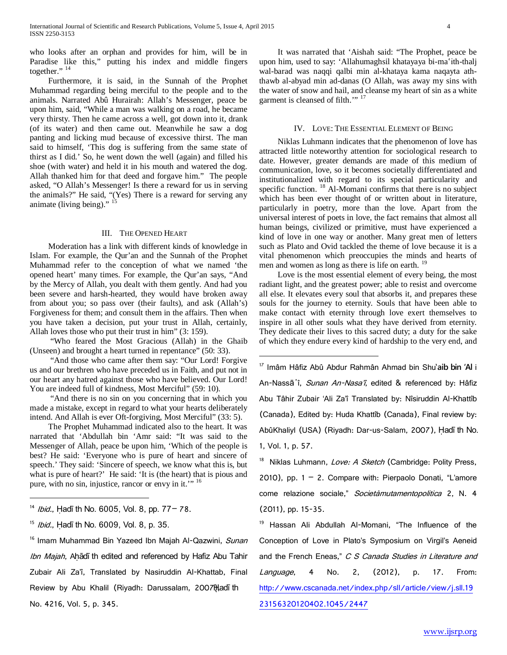who looks after an orphan and provides for him, will be in Paradise like this," putting his index and middle fingers together."<sup>[14](#page-2-1)</sup>

 Furthermore, it is said, in the Sunnah of the Prophet Muhammad regarding being merciful to the people and to the animals. Narrated Abû Hurairah: Allah's Messenger, peace be upon him, said, "While a man was walking on a road, he became very thirsty. Then he came across a well, got down into it, drank (of its water) and then came out. Meanwhile he saw a dog panting and licking mud because of excessive thirst. The man said to himself, 'This dog is suffering from the same state of thirst as I did.' So, he went down the well (again) and filled his shoe (with water) and held it in his mouth and watered the dog. Allah thanked him for that deed and forgave him." The people asked, "O Allah's Messenger! Is there a reward for us in serving the animals?" He said, "(Yes) There is a reward for serving any animate (living being)." <sup>[15](#page-3-0)</sup>

## III. THE OPENED HEART

 Moderation has a link with different kinds of knowledge in Islam. For example, the Qur'an and the Sunnah of the Prophet Muhammad refer to the conception of what we named 'the opened heart' many times. For example, the Qur'an says, "And by the Mercy of Allah, you dealt with them gently. And had you been severe and harsh-hearted, they would have broken away from about you; so pass over (their faults), and ask (Allah's) Forgiveness for them; and consult them in the affairs. Then when you have taken a decision, put your trust in Allah, certainly, Allah loves those who put their trust in him" (3: 159).

 "Who feared the Most Gracious (Allah) in the Ghaib (Unseen) and brought a heart turned in repentance" (50: 33).

<span id="page-3-2"></span> "And those who came after them say: "Our Lord! Forgive us and our brethren who have preceded us in Faith, and put not in our heart any hatred against those who have believed. Our Lord! You are indeed full of kindness, Most Merciful" (59: 10).

 "And there is no sin on you concerning that in which you made a mistake, except in regard to what your hearts deliberately intend. And Allah is ever Oft-forgiving, Most Merciful" (33: 5).

<span id="page-3-3"></span> The Prophet Muhammad indicated also to the heart. It was narrated that 'Abdullah bin 'Amr said: "It was said to the Messenger of Allah, peace be upon him, 'Which of the people is best? He said: 'Everyone who is pure of heart and sincere of speech.' They said: 'Sincere of speech, we know what this is, but what is pure of heart?' He said: 'It is (the heart) that is pious and pure, with no sin, injustice, rancor or envy in it."<sup>[16](#page-3-1)</sup>

<span id="page-3-0"></span><sup>15</sup> *Ibid.*, Hadī th No. 6009, Vol. 8, p. 35.

 $\overline{a}$ 

<span id="page-3-1"></span><sup>16</sup> Imam Muhammad Bin Yazeed Ibn Majah Al-Qazwini, Sunan Ibn Majah, Ahādī th edited and referenced by Hafiz Abu Tahir Zubair Ali Za'î, Translated by Nasiruddin Al-Khattab, Final Review by Abu Khalil (Riyadh: Darussalam, 2007) Hadī th No. 4216, Vol. 5, p. 345.

 It was narrated that 'Aishah said: "The Prophet, peace be upon him, used to say: 'Allahumaghsil khatayaya bi-ma'ith-thalj wal-barad was naqqi qalbi min al-khataya kama naqayta aththawb al-abyad min ad-danas (O Allah, was away my sins with the water of snow and hail, and cleanse my heart of sin as a white garment is cleansed of filth."<sup>[17](#page-3-2)</sup>

### IV. LOVE: THE ESSENTIAL ELEMENT OF BEING

 Niklas Luhmann indicates that the phenomenon of love has attracted little noteworthy attention for sociological research to date. However, greater demands are made of this medium of communication, love, so it becomes societally differentiated and institutionalized with regard to its special particularity and specific function. <sup>[18](#page-3-3)</sup> Al-Momani confirms that there is no subject which has been ever thought of or written about in literature, particularly in poetry, more than the love. Apart from the universal interest of poets in love, the fact remains that almost all human beings, civilized or primitive, must have experienced a kind of love in one way or another. Many great men of letters such as Plato and Ovid tackled the theme of love because it is a vital phenomenon which preoccupies the minds and hearts of men and women as long as there is life on earth.<sup>[19](#page-3-0)</sup>

 Love is the most essential element of every being, the most radiant light, and the greatest power; able to resist and overcome all else. It elevates every soul that absorbs it, and prepares these souls for the journey to eternity. Souls that have been able to make contact with eternity through love exert themselves to inspire in all other souls what they have derived from eternity. They dedicate their lives to this sacred duty; a duty for the sake of which they endure every kind of hardship to the very end, and

 $\overline{a}$ 

<sup>17</sup> Imâm Hâfiz Abû Abdur Rahmân Ahmad bin Shu**ʽaib bin 'Al** i An-Nassā**᾽**î, Sunan An-Nasa'î, edited & referenced by: Hâfiz Abu Tâhir Zubair 'Ali Za'î Translated by: Nîsiruddin Al-Khattîb (Canada), Edited by: Huda Khattîb (Canada), Final review by: AbûKhaliyl (USA) (Riyadh: Dar-us-Salam, 2007), Ḥadī th No. 1, Vol. 1, p. 57.

<sup>18</sup> Niklas Luhmann, *Love: A Sketch* (Cambridge: Polity Press, 2010), pp.  $1 - 2$ . Compare with: Pierpaolo Donati, "L'amore come relazione sociale," Societàmutamentopolitica 2, N. 4 (2011), pp. 15-35.

<sup>19</sup> Hassan Ali Abdullah Al-Momani, "The Influence of the Conception of Love in Plato's Symposium on Virgil's Aeneid and the French Eneas," C S Canada Studies in Literature and Language, 4 No. 2, (2012), p. 17. From: [http://www.cscanada.net/index.php/sll/article/view/j.sll.19](http://www.cscanada.net/index.php/sll/article/view/j.sll.1923156320120402.1045/2447) [23156320120402.1045/2447](http://www.cscanada.net/index.php/sll/article/view/j.sll.1923156320120402.1045/2447)

 $14$  *Ibid.*, Hadī th No. 6005, Vol. 8, pp.  $77 - 78$ .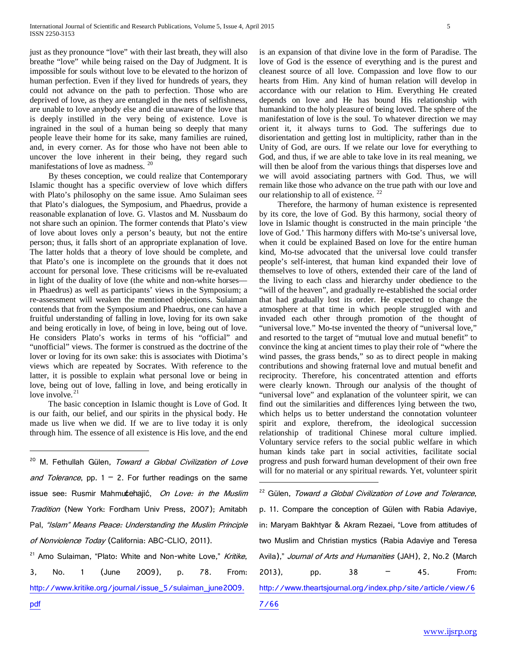just as they pronounce "love" with their last breath, they will also breathe "love" while being raised on the Day of Judgment. It is impossible for souls without love to be elevated to the horizon of human perfection. Even if they lived for hundreds of years, they could not advance on the path to perfection. Those who are deprived of love, as they are entangled in the nets of selfishness, are unable to love anybody else and die unaware of the love that is deeply instilled in the very being of existence. Love is ingrained in the soul of a human being so deeply that many people leave their home for its sake, many families are ruined, and, in every corner. As for those who have not been able to uncover the love inherent in their being, they regard such manifestations of love as madness. [20](#page-3-3)

 By theses conception, we could realize that Contemporary Islamic thought has a specific overview of love which differs with Plato's philosophy on the same issue. Amo Sulaiman sees that Plato's dialogues, the Symposium, and Phaedrus, provide a reasonable explanation of love. G. Vlastos and M. Nussbaum do not share such an opinion. The former contends that Plato's view of love about loves only a person's beauty, but not the entire person; thus, it falls short of an appropriate explanation of love. The latter holds that a theory of love should be complete, and that Plato's one is incomplete on the grounds that it does not account for personal love. These criticisms will be re-evaluated in light of the duality of love (the white and non-white horses in Phaedrus) as well as participants' views in the Symposium; a re-assessment will weaken the mentioned objections. Sulaiman contends that from the Symposium and Phaedrus, one can have a fruitful understanding of falling in love, loving for its own sake and being erotically in love, of being in love, being out of love. He considers Plato's works in terms of his "official" and "unofficial" views. The former is construed as the doctrine of the lover or loving for its own sake: this is associates with Diotima's views which are repeated by Socrates. With reference to the latter, it is possible to explain what personal love or being in love, being out of love, falling in love, and being erotically in love involve. $21$ 

 The basic conception in Islamic thought is Love of God. It is our faith, our belief, and our spirits in the physical body. He made us live when we did. If we are to live today it is only through him. The essence of all existence is His love, and the end

<span id="page-4-2"></span><span id="page-4-1"></span><sup>20</sup> M. Fethullah Gülen, Toward a Global Civilization of Love and Tolerance, pp.  $1 - 2$ . For further readings on the same issue see: Rusmir Mahmutehajić, On Love: in the Muslim Tradition (New York: Fordham Univ Press, 2007); Amitabh Pal, "Islam" Means Peace: Understanding the Muslim Principle of Nonviolence Today (California: ABC-CLIO, 2011).

<span id="page-4-0"></span> $21$  Amo Sulaiman, "Plato: White and Non-white Love," Kritike,

3, No. 1 (June 2009), p. 78. From:

[http://www.kritike.org/journal/issue\\_5/sulaiman\\_june2009.](http://www.kritike.org/journal/issue_5/sulaiman_june2009.pdf)

is an expansion of that divine love in the form of Paradise. The love of God is the essence of everything and is the purest and cleanest source of all love. Compassion and love flow to our hearts from Him. Any kind of human relation will develop in accordance with our relation to Him. Everything He created depends on love and He has bound His relationship with humankind to the holy pleasure of being loved. The sphere of the manifestation of love is the soul. To whatever direction we may orient it, it always turns to God. The sufferings due to disorientation and getting lost in multiplicity, rather than in the Unity of God, are ours. If we relate our love for everything to God, and thus, if we are able to take love in its real meaning, we will then be aloof from the various things that disperses love and we will avoid associating partners with God. Thus, we will remain like those who advance on the true path with our love and our relationship to all of existence.<sup>[22](#page-4-1)</sup>

 Therefore, the harmony of human existence is represented by its core, the love of God. By this harmony, social theory of love in Islamic thought is constructed in the main principle 'the love of God.' This harmony differs with Mo-tse's universal love, when it could be explained Based on love for the entire human kind, Mo-tse advocated that the universal love could transfer people's self-interest, that human kind expanded their love of themselves to love of others, extended their care of the land of the living to each class and hierarchy under obedience to the "will of the heaven", and gradually re-established the social order that had gradually lost its order. He expected to change the atmosphere at that time in which people struggled with and invaded each other through promotion of the thought of "universal love." Mo-tse invented the theory of "universal love," and resorted to the target of "mutual love and mutual benefit" to convince the king at ancient times to play their role of "where the wind passes, the grass bends," so as to direct people in making contributions and showing fraternal love and mutual benefit and reciprocity. Therefore, his concentrated attention and efforts were clearly known. Through our analysis of the thought of "universal love" and explanation of the volunteer spirit, we can find out the similarities and differences lying between the two, which helps us to better understand the connotation volunteer spirit and explore, therefrom, the ideological succession relationship of traditional Chinese moral culture implied. Voluntary service refers to the social public welfare in which human kinds take part in social activities, facilitate social progress and push forward human development of their own free will for no material or any spiritual rewards. Yet, volunteer spirit

 $22$  Gülen, Toward a Global Civilization of Love and Tolerance, p. 11. Compare the conception of Gülen with Rabia Adaviye, in: Maryam Bakhtyar & Akram Rezaei, "Love from attitudes of two Muslim and Christian mystics (Rabia Adaviye and Teresa Avila)," Journal of Arts and Humanities (JAH), 2, No.2 (March 2013), pp. 38 – 45. From:

[http://www.theartsjournal.org/index.php/site/article/view/6](http://www.theartsjournal.org/index.php/site/article/view/67/66)

 $\overline{a}$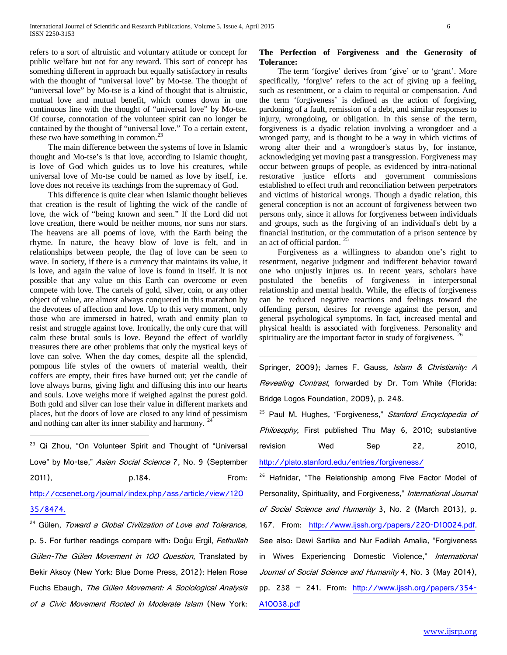refers to a sort of altruistic and voluntary attitude or concept for public welfare but not for any reward. This sort of concept has something different in approach but equally satisfactory in results with the thought of "universal love" by Mo-tse. The thought of "universal love" by Mo-tse is a kind of thought that is altruistic, mutual love and mutual benefit, which comes down in one continuous line with the thought of "universal love" by Mo-tse. Of course, connotation of the volunteer spirit can no longer be contained by the thought of "universal love." To a certain extent, these two have something in common.<sup>[23](#page-4-2)</sup>

 The main difference between the systems of love in Islamic thought and Mo-tse's is that love, according to Islamic thought, is love of God which guides us to love his creatures, while universal love of Mo-tse could be named as love by itself, i.e. love does not receive its teachings from the supremacy of God.

 This difference is quite clear when Islamic thought believes that creation is the result of lighting the wick of the candle of love, the wick of "being known and seen." If the Lord did not love creation, there would be neither moons, nor suns nor stars. The heavens are all poems of love, with the Earth being the rhyme. In nature, the heavy blow of love is felt, and in relationships between people, the flag of love can be seen to wave. In society, if there is a currency that maintains its value, it is love, and again the value of love is found in itself. It is not possible that any value on this Earth can overcome or even compete with love. The cartels of gold, silver, coin, or any other object of value, are almost always conquered in this marathon by the devotees of affection and love. Up to this very moment, only those who are immersed in hatred, wrath and enmity plan to resist and struggle against love. Ironically, the only cure that will calm these brutal souls is love. Beyond the effect of worldly treasures there are other problems that only the mystical keys of love can solve. When the day comes, despite all the splendid, pompous life styles of the owners of material wealth, their coffers are empty, their fires have burned out; yet the candle of love always burns, giving light and diffusing this into our hearts and souls. Love weighs more if weighed against the purest gold. Both gold and silver can lose their value in different markets and places, but the doors of love are closed to any kind of pessimism and nothing can alter its inner stability and harmony.<sup>[24](#page-5-0)</sup>

<span id="page-5-2"></span><sup>23</sup> Qi Zhou, "On Volunteer Spirit and Thought of "Universal Love" by Mo-tse," Asian Social Science 7, No. 9 (September 2011), p.184. From: [http://ccsenet.org/journal/index.php/ass/article/view/120](http://ccsenet.org/journal/index.php/ass/article/view/12035/8474) [35/8474.](http://ccsenet.org/journal/index.php/ass/article/view/12035/8474)

<span id="page-5-1"></span> $\overline{a}$ 

<span id="page-5-0"></span><sup>24</sup> Gülen, Toward a Global Civilization of Love and Tolerance, p. 5. For further readings compare with: Doğu Ergil, Fethullah Gülen-The Gülen Movement in 100 Question, Translated by Bekir Aksoy (New York: Blue Dome Press, 2012); Helen Rose Fuchs Ebaugh, The Gülen Movement: A Sociological Analysis of a Civic Movement Rooted in Moderate Islam (New York:

# **The Perfection of Forgiveness and the Generosity of Tolerance:**

 The term 'forgive' derives from 'give' or to 'grant'. More specifically, 'forgive' refers to the act of giving up a feeling, such as resentment, or a claim to requital or compensation. And the term 'forgiveness' is defined as the action of forgiving, pardoning of a fault, remission of a debt, and similar responses to injury, wrongdoing, or obligation. In this sense of the term, forgiveness is a dyadic relation involving a wrongdoer and a wronged party, and is thought to be a way in which victims of wrong alter their and a wrongdoer's status by, for instance, acknowledging yet moving past a transgression. Forgiveness may occur between groups of people, as evidenced by intra-national restorative justice efforts and government commissions established to effect truth and reconciliation between perpetrators and victims of historical wrongs. Though a dyadic relation, this general conception is not an account of forgiveness between two persons only, since it allows for forgiveness between individuals and groups, such as the forgiving of an individual's debt by a financial institution, or the commutation of a prison sentence by an act of official pardon. [25](#page-5-1)

 Forgiveness as a willingness to abandon one's right to resentment, negative judgment and indifferent behavior toward one who unjustly injures us. In recent years, scholars have postulated the benefits of forgiveness in interpersonal relationship and mental health. While, the effects of forgiveness can be reduced negative reactions and feelings toward the offending person, desires for revenge against the person, and general psychological symptoms. In fact, increased mental and physical health is associated with forgiveness. Personality and spirituality are the important factor in study of forgiveness.

Springer, 2009); James F. Gauss, Islam & Christianity: A Revealing Contrast, forwarded by Dr. Tom White (Florida: Bridge Logos Foundation, 2009), p. 248.

 $\overline{a}$ 

|                                                | <sup>25</sup> Paul M. Hughes, "Forgiveness," Stanford Encyclopedia of |     |     |       |
|------------------------------------------------|-----------------------------------------------------------------------|-----|-----|-------|
|                                                | Philosophy, First published Thu May 6, 2010; substantive              |     |     |       |
| revision                                       | Wed                                                                   | Sep | 22. | 2010. |
| http://plato.stanford.edu/entries/forgiveness/ |                                                                       |     |     |       |
|                                                |                                                                       |     |     |       |

<sup>26</sup> Hafnidar, "The Relationship among Five Factor Model of Personality, Spirituality, and Forgiveness," International Journal of Social Science and Humanity 3, No. 2 (March 2013), p. 167. From: [http://www.ijssh.org/papers/220-D10024.pdf.](http://www.ijssh.org/papers/220-D10024.pdf)  See also: Dewi Sartika and Nur Fadilah Amalia, "Forgiveness in Wives Experiencing Domestic Violence," International Journal of Social Science and Humanity 4, No. 3 (May 2014), pp. 238 – 241. From: [http://www.ijssh.org/papers/354-](http://www.ijssh.org/papers/354-A10038.pdf) [A10038.pdf](http://www.ijssh.org/papers/354-A10038.pdf)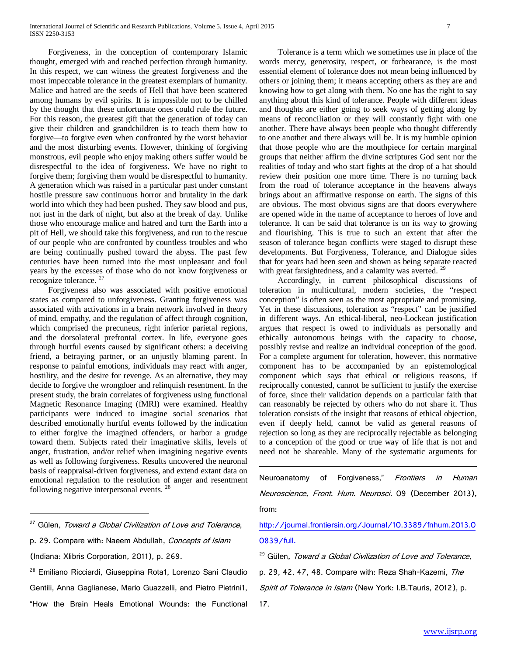Forgiveness, in the conception of contemporary Islamic thought, emerged with and reached perfection through humanity. In this respect, we can witness the greatest forgiveness and the most impeccable tolerance in the greatest exemplars of humanity. Malice and hatred are the seeds of Hell that have been scattered among humans by evil spirits. It is impossible not to be chilled by the thought that these unfortunate ones could rule the future. For this reason, the greatest gift that the generation of today can give their children and grandchildren is to teach them how to forgive—to forgive even when confronted by the worst behavior and the most disturbing events. However, thinking of forgiving monstrous, evil people who enjoy making others suffer would be disrespectful to the idea of forgiveness. We have no right to forgive them; forgiving them would be disrespectful to humanity. A generation which was raised in a particular past under constant hostile pressure saw continuous horror and brutality in the dark world into which they had been pushed. They saw blood and pus, not just in the dark of night, but also at the break of day. Unlike those who encourage malice and hatred and turn the Earth into a pit of Hell, we should take this forgiveness, and run to the rescue of our people who are confronted by countless troubles and who are being continually pushed toward the abyss. The past few centuries have been turned into the most unpleasant and foul years by the excesses of those who do not know forgiveness or recognize tolerance.<sup>[27](#page-5-0)</sup>

 Forgiveness also was associated with positive emotional states as compared to unforgiveness. Granting forgiveness was associated with activations in a brain network involved in theory of mind, empathy, and the regulation of affect through cognition, which comprised the precuneus, right inferior parietal regions, and the dorsolateral prefrontal cortex. In life, everyone goes through hurtful events caused by significant others: a deceiving friend, a betraying partner, or an unjustly blaming parent. In response to painful emotions, individuals may react with anger, hostility, and the desire for revenge. As an alternative, they may decide to forgive the wrongdoer and relinquish resentment. In the present study, the brain correlates of forgiveness using functional Magnetic Resonance Imaging (fMRI) were examined. Healthy participants were induced to imagine social scenarios that described emotionally hurtful events followed by the indication to either forgive the imagined offenders, or harbor a grudge toward them. Subjects rated their imaginative skills, levels of anger, frustration, and/or relief when imagining negative events as well as following forgiveness. Results uncovered the neuronal basis of reappraisal-driven forgiveness, and extend extant data on emotional regulation to the resolution of anger and resentment following negative interpersonal events.<sup>[28](#page-6-0)</sup>

<span id="page-6-1"></span>(Indiana: Xlibris Corporation, 2011), p. 269.

 $\overline{a}$ 

 Tolerance is a term which we sometimes use in place of the words mercy, generosity, respect, or forbearance, is the most essential element of tolerance does not mean being influenced by others or joining them; it means accepting others as they are and knowing how to get along with them. No one has the right to say anything about this kind of tolerance. People with different ideas and thoughts are either going to seek ways of getting along by means of reconciliation or they will constantly fight with one another. There have always been people who thought differently to one another and there always will be. It is my humble opinion that those people who are the mouthpiece for certain marginal groups that neither affirm the divine scriptures God sent nor the realities of today and who start fights at the drop of a hat should review their position one more time. There is no turning back from the road of tolerance acceptance in the heavens always brings about an affirmative response on earth. The signs of this are obvious. The most obvious signs are that doors everywhere are opened wide in the name of acceptance to heroes of love and tolerance. It can be said that tolerance is on its way to growing and flourishing. This is true to such an extent that after the season of tolerance began conflicts were staged to disrupt these developments. But Forgiveness, Tolerance, and Dialogue sides that for years had been seen and shown as being separate reacted with great farsightedness, and a calamity was averted.<sup>[29](#page-6-1)</sup>

 Accordingly, in current philosophical discussions of toleration in multicultural, modern societies, the "respect conception" is often seen as the most appropriate and promising. Yet in these discussions, toleration as "respect" can be justified in different ways. An ethical-liberal, neo-Lockean justification argues that respect is owed to individuals as personally and ethically autonomous beings with the capacity to choose, possibly revise and realize an individual conception of the good. For a complete argument for toleration, however, this normative component has to be accompanied by an epistemological component which says that ethical or religious reasons, if reciprocally contested, cannot be sufficient to justify the exercise of force, since their validation depends on a particular faith that can reasonably be rejected by others who do not share it. Thus toleration consists of the insight that reasons of ethical objection, even if deeply held, cannot be valid as general reasons of rejection so long as they are reciprocally rejectable as belonging to a conception of the good or true way of life that is not and need not be shareable. Many of the systematic arguments for

Neuroanatomy of Forgiveness," Frontiers in Human Neuroscience, Front. Hum. Neurosci. 09 (December 2013), from:

[http://journal.frontiersin.org/Journal/10.3389/fnhum.2013.0](http://journal.frontiersin.org/Journal/10.3389/fnhum.2013.00839/full) [0839/full.](http://journal.frontiersin.org/Journal/10.3389/fnhum.2013.00839/full)

 $29$  Gülen, Toward a Global Civilization of Love and Tolerance, p. 29, 42, 47, 48. Compare with: Reza Shah-Kazemi, The Spirit of Tolerance in Islam (New York: I.B.Tauris, 2012), p.

17.

 $27$  Gülen, Toward a Global Civilization of Love and Tolerance,

p. 29. Compare with: Naeem Abdullah, Concepts of Islam

<span id="page-6-0"></span><sup>&</sup>lt;sup>28</sup> Emiliano Ricciardi, Giuseppina Rota1, Lorenzo Sani Claudio Gentili, Anna Gaglianese, Mario Guazzelli, and Pietro Pietrini1, "How the Brain Heals Emotional Wounds: the Functional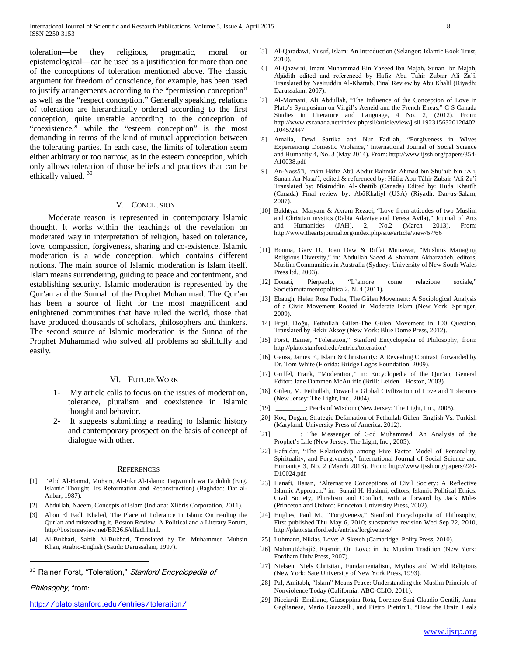toleration—be they religious, pragmatic, moral or epistemological—can be used as a justification for more than one of the conceptions of toleration mentioned above. The classic argument for freedom of conscience, for example, has been used to justify arrangements according to the "permission conception" as well as the "respect conception." Generally speaking, relations of toleration are hierarchically ordered according to the first conception, quite unstable according to the conception of "coexistence," while the "esteem conception" is the most demanding in terms of the kind of mutual appreciation between the tolerating parties. In each case, the limits of toleration seem either arbitrary or too narrow, as in the esteem conception, which only allows toleration of those beliefs and practices that can be ethically valued.<sup>[30](#page-6-0)</sup>

# V. CONCLUSION

 Moderate reason is represented in contemporary Islamic thought. It works within the teachings of the revelation on moderated way in interpretation of religion, based on tolerance, love, compassion, forgiveness, sharing and co-existence. Islamic moderation is a wide conception, which contains different notions. The main source of Islamic moderation is Islam itself. Islam means surrendering, guiding to peace and contentment, and establishing security. Islamic moderation is represented by the Qur'an and the Sunnah of the Prophet Muhammad. The Qur'an has been a source of light for the most magnificent and enlightened communities that have ruled the world, those that have produced thousands of scholars, philosophers and thinkers. The second source of Islamic moderation is the Sunna of the Prophet Muhammad who solved all problems so skillfully and easily.

#### VI. FUTURE WORK

- 1- My article calls to focus on the issues of moderation, tolerance, pluralism and coexistence in Islamic thought and behavior.
- 2- It suggests submitting a reading to Islamic history and contemporary prospect on the basis of concept of dialogue with other.

#### **REFERENCES**

- [1] 'Abd Al-Hamīd, Muhsin, Al-Fikr Al-Islami: Taqwimuh wa Tajdiduh (Eng. Islamic Thought: Its Reformation and Reconstruction) (Baghdad: Dar al-Anbar, 1987).
- [2] Abdullah, Naeem, Concepts of Islam (Indiana: Xlibris Corporation, 2011).
- [3] Abou El Fadl, Khaled, The Place of Tolerance in Islam: On reading the Qur'an and misreading it, Boston Review: A Political and a Literary Forum, http://bostonreview.net/BR26.6/elfadl.html.
- [4] Al-Bukhari, Sahih Al-Bukhari, Translated by Dr. Muhammed Muhsin Khan, Arabic-English (Saudi: Darussalam, 1997).

Philosophy, from:

 $\overline{a}$ 

<http://plato.stanford.edu/entries/toleration/>

- [5] Al-Qaradawi, Yusuf, Islam: An Introduction (Selangor: Islamic Book Trust, 2010).
- [6] Al-Qazwini, Imam Muhammad Bin Yazeed Ibn Majah, Sunan Ibn Majah, Aḥādīth edited and referenced by Hafiz Abu Tahir Zubair Ali Za'î, Translated by Nasiruddin Al-Khattab, Final Review by Abu Khalil (Riyadh: Darussalam, 2007).
- [7] Al-Momani, Ali Abdullah, "The Influence of the Conception of Love in Plato's Symposium on Virgil's Aeneid and the French Eneas," C S Canada Studies in Literature and Language, 4 No. 2, (2012). From: http://www.cscanada.net/index.php/sll/article/view/j.sll.1923156320120402 .1045/2447
- [8] Amalia, Dewi Sartika and Nur Fadilah, "Forgiveness in Wives Experiencing Domestic Violence," International Journal of Social Science and Humanity 4, No. 3 (May 2014). From: http://www.ijssh.org/papers/354- A10038.pdf
- [9] An-Nassā'î, Imâm Hâfiz Abû Abdur Rahmân Ahmad bin Shuʿaib bin 'Ali, Sunan An-Nasa'î, edited & referenced by: Hâfiz Abu Tâhir Zubair 'Ali Za'î Translated by: Nîsiruddin Al-Khattîb (Canada) Edited by: Huda Khattîb (Canada) Final review by: AbûKhaliyl (USA) (Riyadh: Dar-us-Salam, 2007).
- [10] Bakhtyar, Maryam & Akram Rezaei, "Love from attitudes of two Muslim and Christian mystics (Rabia Adaviye and Teresa Avila)," Journal of Arts and Humanities (JAH), 2, No.2 (March 2013). From: http://www.theartsjournal.org/index.php/site/article/view/67/66
- [11] Bouma, Gary D., Joan Daw & Riffat Munawar, "Muslims Managing Religious Diversity," in: Abdullah Saeed & Shahram Akbarzadeh, editors, Muslim Communities in Australia (Sydney: University of New South Wales Press ltd., 2003).
- [12] Donati, Pierpaolo, "L'amore come relazione sociale," Societàmutamentopolitica 2, N. 4 (2011).
- [13] Ebaugh, Helen Rose Fuchs, The Gülen Movement: A Sociological Analysis of a Civic Movement Rooted in Moderate Islam (New York: Springer, 2009).
- [14] Ergil, Doğu, Fethullah Gülen-The Gülen Movement in 100 Question, Translated by Bekir Aksoy (New York: Blue Dome Press, 2012).
- [15] Forst, Rainer, "Toleration," Stanford Encyclopedia of Philosophy, from: http://plato.stanford.edu/entries/toleration/
- [16] Gauss, James F., Islam & Christianity: A Revealing Contrast, forwarded by Dr. Tom White (Florida: Bridge Logos Foundation, 2009).
- [17] Griffel, Frank, "Moderation," in: Encyclopedia of the Qur'an, General Editor: Jane Dammen McAuliffe (Brill: Leiden – Boston, 2003).
- [18] Gülen, M. Fethullah, Toward a Global Civilization of Love and Tolerance (New Jersey: The Light, Inc., 2004).
- [19] \_\_\_\_\_\_\_\_\_: Pearls of Wisdom (New Jersey: The Light, Inc., 2005).
- [20] Koc, Dogan, Strategic Defamation of Fethullah Gülen: English Vs. Turkish (Maryland: University Press of America, 2012).
- [21] \_\_\_\_\_\_\_\_: The Messenger of God Muhammad: An Analysis of the Prophet's Life (New Jersey: The Light, Inc., 2005).
- [22] Hafnidar, "The Relationship among Five Factor Model of Personality, Spirituality, and Forgiveness," International Journal of Social Science and Humanity 3, No. 2 (March 2013). From: http://www.ijssh.org/papers/220- D10024.pdf
- [23] Hanafi, Hasan, "Alternative Conceptions of Civil Society: A Reflective Islamic Approach," in: Suhail H. Hashmi, editors, Islamic Political Ethics: Civil Society, Pluralism and Conflict, with a forward by Jack Miles (Princeton and Oxford: Princeton University Press, 2002).
- [24] Hughes, Paul M., "Forgiveness," Stanford Encyclopedia of Philosophy, First published Thu May 6, 2010; substantive revision Wed Sep 22, 2010, http://plato.stanford.edu/entries/forgiveness/
- [25] Luhmann, Niklas, Love: A Sketch (Cambridge: Polity Press, 2010).
- [26] Mahmutćehajić, Rusmir, On Love: in the Muslim Tradition (New York: Fordham Univ Press, 2007).
- [27] Nielsen, Niels Christian, Fundamentalism, Mythos and World Religions (New York: Sate University of New York Press, 1993).
- [28] Pal, Amitabh, "Islam" Means Peace: Understanding the Muslim Principle of Nonviolence Today (California: ABC-CLIO, 2011).
- [29] Ricciardi, Emiliano, Giuseppina Rota, Lorenzo Sani Claudio Gentili, Anna Gaglianese, Mario Guazzelli, and Pietro Pietrini1, "How the Brain Heals

<sup>&</sup>lt;sup>30</sup> Rainer Forst, "Toleration," Stanford Encyclopedia of